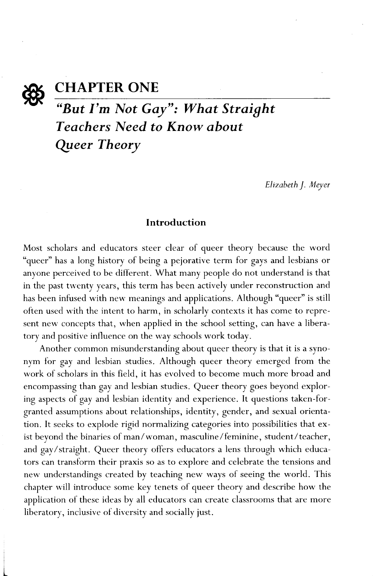# **CHAPTER ONE**

# "But I'm Not Gay": What Straight *Teachers Need to Know about Qyeer Theory*

*Elizabeth]. Meyer* 

#### **Introduction**

Most scholars and educators steer clear of queer theory because the word "queer" has a long history of being a pejorative term for gays and lesbians or anyone perceived to be different. What many people do not understand is that in the past twenty years, this term has been actively under reconstruction and has been infused with new meanings and applications. Although "queer" is still often used with the intent to harm, in scholarly contexts it has come to represent new concepts that, when applied in the school setting, can have a liberatory and positive influence on the way schools work today.

Another common misunderstanding about queer theory is that it is a synonym for gay and lesbian studies. Although queer theory emerged from the work of scholars in this field, it has evolved to become much more broad and encompassing than gay and lesbian studies. Queer theory goes beyond exploring aspects of gay and lesbian identity and experience. It questions taken-forgranted assumptions about relationships, identity, gender, and sexual orientation. It seeks to explode rigid normalizing categories into possibilities that exist beyond the binaries of man/woman, masculine/feminine, student/teacher, and gay/straight. Queer theory offers educators a lens through which educators can transform their praxis so as to explore and celebrate the tensions and new understandings created by teaching new ways of seeing the world. This chapter will introduce some key tenets of queer theory and describe how the application of these ideas by all educators can create classrooms that are more liberatory, inclusive of diversity and socially just.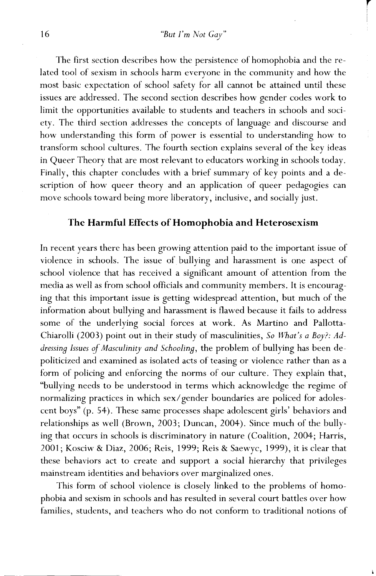**r** 

The first section describes how the persistence of homophobia and the related tool of sexism in schools harm everyone in the community and how the most basic expectation of school safety for all cannot be attained until these issues are addressed. The second section describes how gender codes work to limit the opportunities available to students and teachers in schools and society. The third section addresses the concepts of language and discourse and how understanding this form of power is essential to understanding how to transform school cultures. The fourth section explains several of the key ideas in Queer Theory that are most relevant to educators working in schools today. Finally, this chapter concludes with a brief summary of key points and a description of how queer theory and an application of queer pedagogies can move schools toward being more liberatory, inclusive, and socially just.

#### **The Harmful Effects of Homophobia and Heterosexism**

In recent years there has been growing attention paid to the important issue of violence in schools. The issue of bullying and harassment is one aspect of school violence that has received a significant amount of attention from the media as well as from school officials and community members. It is encouraging that this important issue is getting widespread attention, but much of the information about bullying and harassment is flawed because it fails to address some of the underlying social forces at work. As Martino and Pallotta-Chiarolli (2003) point out in their study of masculinities, *So What's a Boy?: Addressing Issues* if *Masculinity and Schooling,* the problem of bullying has been depoliticized and examined as isolated acts of teasing or violence rather than as a form of policing and enforcing the norms of our culture. They explain that, "bullying needs to be understood in terms which acknowledge the regime of normalizing practices in which sex/gender boundaries are policed for adolescent boys" (p. 54). These same processes shape adolescent girls' behaviors and relationships as well (Brown, 2003; Duncan, 2004). Since much of the bullying that occurs in schools is discriminatory in nature (Coalition, 2004; Harris, 2001; Kosciw & Diaz, 2006; Reis, 1999; Reis & Saewyc, 1999), it is clear that these behaviors act to create and support a social hierarchy that privileges mainstream identities and behaviors over marginalized ones.

This form of school violence is closely linked to the problems of homophobia and sexism in schools and has resulted in several court battles over how families, students, and teachers who do not conform to traditional notions of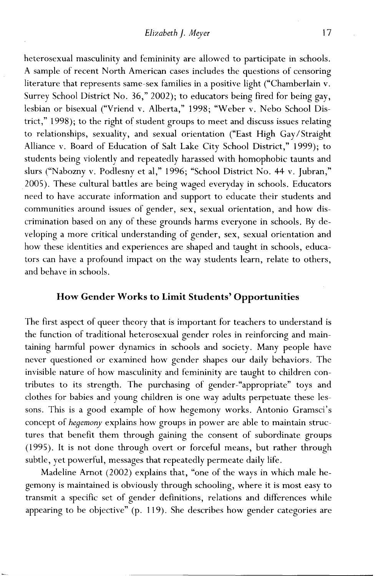heterosexual masculinity and femininity are allowed to participate in schools. A sample of recent North American cases includes the questions of censoring literature that represents same-sex families in a positive light ("Chamberlain v. Surrey School District No. 36," 2002); to educators being fired for being gay, lesbian or bisexual ("Vriend v. Alberta," 1998; "Weber v. Nebo School District," 1998); to the right of student groups to meet and discuss issues relating to relationships, sexuality, and sexual orientation ("East High Gay/Straight Alliance v. Board of Education of Salt Lake City School District," 1999); to students being violently and repeatedly harassed with homophobic taunts and slurs ("Nabozny v. Podlesny et al," 1996; "School District No. 44 v. Jubran," 2005). These cultural battles are being waged everyday in schools. Educators need to have accurate information and support to educate their students and communities around issues of gender, sex, sexual orientation, and how discrimination based on any of these grounds harms everyone in schools. By developing a more critical understanding of gender, sex, sexual orientation and how these identities and experiences are shaped and taught in schools, educators can have a profound impact on the way students learn, relate to others, and behave in schools.

## **How Gender Works to Limit Students' Opportunities**

The first aspect of queer theory that is important for teachers to understand is the function of traditional heterosexual gender roles in reinforcing and maintaining harmful power dynamics in schools and society. Many people have never questioned or examined how gender shapes our daily behaviors. The invisible nature of how masculinity and femininity are taught to children contributes to its strength. The purchasing of gender-"appropriate" toys and clothes for babies and young children is one way adults perpetuate these lessons. This is a good example of how hegemony works. Antonio Gramsci's concept of *hegemony* explains how groups in power are able to maintain structures that benefit them through gaining the consent of subordinate groups (1995). It is not done through overt or forceful means, but rather through subtle, yet powerful, messages that repeatedly permeate daily life.

Madeline Arnot (2002) explains that, "one of the ways in which male hegemony is maintained is obviously through schooling, where it is most easy to transmit a specific set of gender definitions, relations and differences while appearing to be objective" (p. 119). She describes how gender categories are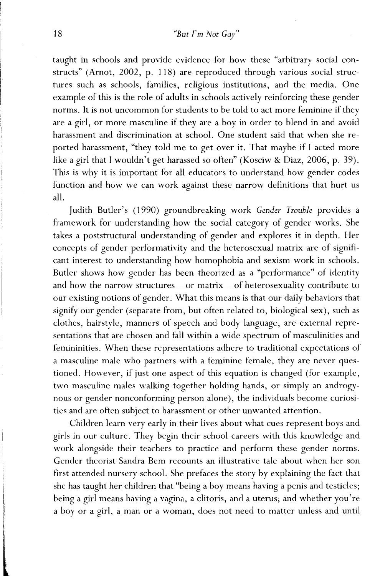#### 18 *"But I'm Not* Gay"

taught in schools and provide evidence for how these "arbitrary social constructs" (Arnot, 2002, p. 118) are reproduced through various social structures such as schools, families, religious institutions, and the media. One example of this is the role of adults in schools actively reinforcing these gender norms. It is not uncommon for students to be told to act more feminine if they are a girl, or more masculine if they are a boy in order to blend in and avoid harassment and discrimination at school. One student said that when she reported harassment, "they told me to get over it. That maybe if I acted more like a girl that I wouldn't get harassed so often" (Kosciw & Diaz, 2006, p. 39). This is why it is important for all educators to understand how gender codes function and how we can work against these narrow definitions that hurt us all.

Judith Butler's ( 1990) groundbreaking work *Gender Trouble* provides a framework for understanding how the social category of gender works. She takes a poststructural understanding of gender and explores it in-depth. Her concepts of gender performativity and the heterosexual matrix are of significant interest to understanding how homophobia and sexism work in schools. Butler shows how gender has been theorized as a "performance" of identity and how the narrow structures-or matrix-of heterosexuality contribute to our existing notions of gender. What this means is that our daily behaviors that signify our gender (separate from, but often related to, biological sex), such as clothes, hairstyle, manners of speech and body language, are external representations that are chosen and fall within a wide spectrum of masculinities and femininities. When these representations adhere to traditional expectations of a masculine male who partners with a feminine female, they are never questioned. However, if just one aspect of this equation is changed (for example, two masculine males walking together holding hands, or simply an androgynous or gender nonconforming person alone), the individuals become curiosities and are often subject to harassment or other unwanted attention.

Children learn very early in their lives about what cues represent boys and girls in our culture. They begin their school careers with this knowledge and work alongside their teachers to practice and perform these gender norms. Gender theorist Sandra Bem recounts an illustrative tale about when her son first attended nursery school. She prefaces the story by explaining the fact that she has taught her children that "being a boy means having a penis and testicles; being a girl means having a vagina, a clitoris, and a uterus; and whether you're a boy or a girl, a man or a woman, does not need to matter unless and until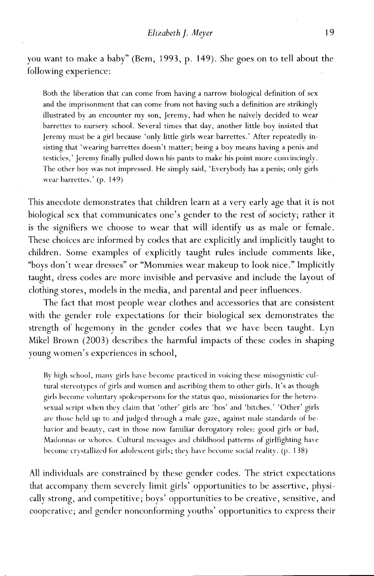you want to make a baby" (Bern, 1993, p. 149). She goes on to tell about the following experience:

Both the liberation that can come from having a narrow biological definition of sex and the imprisonment that can come from not having such a definition are strikingly illustrated by an encounter my son, Jeremy, had when he naively decided to wear barrettes to nursery school. Several times that day, another little boy insisted that Jeremy must be a girl because 'only little girls wear barrettes.' After repeatedly insisting that 'wearing barrettes doesn't matter; being a boy means having a penis and testicles,' Jeremy finally pulled down his pants to make his point more convincingly. The other boy was not impressed. He simply said, 'Everybody has a penis; only girls wear barrettes.' (p. 149)

This anecdote demonstrates that children learn at a very early age that it is not biological sex that communicates one's gender to the rest of society; rather it is the signifiers we choose to wear that will identify us as male or female. These choices are informed by codes that are explicitly and implicitly taught to children. Some examples of explicitly taught rules include comments like, "boys don't wear dresses" or "Mommies wear makeup to look nice." Implicitly taught, dress codes are more invisible and pervasive and include the layout of clothing stores, models in the media, and parental and peer influences.

The fact that most people wear clothes and accessories that are consistent with the gender role expectations for their biological sex demonstrates the strength of hegemony in the gender codes that we have been taught. Lyn Mikel Brown (2003) describes the harmful impacts of these codes in shaping young women's experiences in school,

By high school, many girls have become practiced in voicing these misogynistic cultural stereotypes of girls and women and ascribing them to other girls. It's as though girls become voluntary spokespersons for the status quo, missionaries for the heterosexual script when they claim that 'other' girls are 'hos' and 'bitches.' 'Other' girls are those held up to and judged through a male gaze, against male standards of behavior and beauty, cast in those now familiar derogatory roles: good girls or bad, Madonnas or \\·horcs. Cultural messages and childhood patterns of girlfighting have become crystallized for adolescent girls; they have become social reality. (p. 138)

All individuals are constrained by these gender codes. The strict expectations that accompany them severely limit girls' opportunities to be assertive, physically strong, and competitive; boys' opportunities to be creative, sensitive, and cooperative; and gender nonconforming youths' opportunities to express their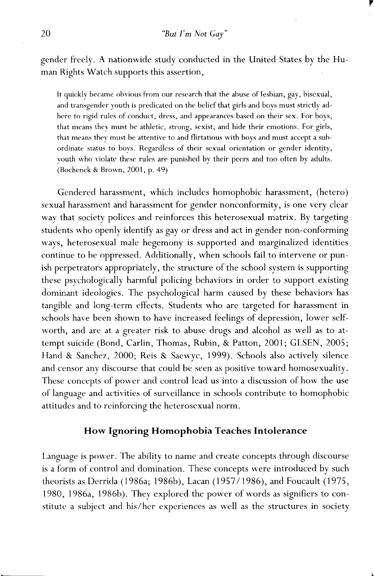,

gender freely. A nationwide study conducted in the United States by the Human Rights Watch supports this assertion,

It quickly became obvious from our research that the abuse of lesbian, gay, bisexual, and transgender youth is predicated on the belief that girls and boys must strictly adhere to rigid rules of conduct, dress, and appearances based on their sex. For boys, that means they must be athletic, strong, sexist, and hide their emotions. For girls, that means they must be attentive to and flirtatious with boys and must accept a subordinate status to boys. Regardless of their sexual orientation or gender identity, youth who violate these rules are punished by their peers and too often by adults. (Bochenek & Brown, 2001, p. 49)

Gendered harassment, which includes homophobic harassment, (hetero) sexual harassment and harassment for gender nonconformity, is one very clear way that society polices and reinforces this heterosexual matrix. By targeting students who openly identify as gay or dress and act in gender non-conforming ways, heterosexual male hegemony is supported and marginalized identities continue to be oppressed. Additionally, when schools fail to intervene or punish perpetrators appropriately, the structure of the school system is supporting these psychologically harmful policing behaviors in order to support existing dominant ideologies. The psychological harm caused by these behaviors has tangible and long-term effects. Students who are targeted for harassment in schools have been shown to have increased feelings of depression, lower selfworth, and are at a greater risk to abuse drugs and alcohol as well as to attempt suicide (Bond, Carlin, Thomas, Rubin, & Patton, 2001; GLSEN, 2005; Hand & Sanchez, 2000; Reis & Saewyc, 1999). Schools also actively silence and censor any discourse that could be seen as positive toward homosexuality. These concepts of power and control lead us into a discussion of how the use of language and activities of surveillance in schools contribute to homophobic attitudes and to reinforcing the heterosexual norm.

#### **How Ignoring Homophobia Teaches Intolerance**

Language is power. The ability to name and create concepts through discourse is a form of control and domination. These concepts were introduced by such theorists as Derrida (1986a; 1986b), Lacan (1957/1986), and Foucault (1975, 1980, 1986a, 1986b). They explored the power of words as signifiers to constitute a subject and his/her experiences as well as the structures in society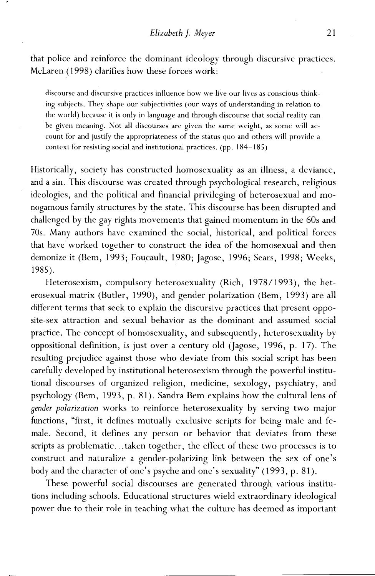that police and reinforce the dominant ideology through discursive practices. McLaren (1998) clarifies how these forces work:

discourse and discursive practices influence how we live our lives as conscious thinking subjects. They shape our subjectivities (our ways of understanding in relation to the world) because it is only in language and through discourse that social reality can be given meaning. Not all discourses are given the same weight, as some will account for and justify the appropriateness of the status quo and others will provide a context for resisting social and institutional practices. (pp. 184-185)

Historically, society has constructed homosexuality as an illness, a deviance, and a sin. This discourse was created through psychological research, religious ideologies, and the political and financial privileging of heterosexual and monogamous family structures by the state. This discourse has been disrupted and challenged by the gay rights movements that gained momentum in the 60s and 70s. Many authors have examined the social, historical, and political forces that have worked together to construct the idea of the homosexual and then demonize it (Bern, 1993; Foucault, 1980; Jagose, 1996; Sears, 1998; Weeks, 1985).

Heterosexism, compulsory heterosexuality (Rich, 1978/1993), the heterosexual matrix (Butler, 1990), and gender polarization (Bem, 1993) are all different terms that seek to explain the discursive practices that present opposite-sex attraction and sexual behavior as the dominant and assumed social practice. The concept of homosexuality, and subsequently, heterosexuality by oppositional definition, is just over a century old (Jagose, 1996, p. 17). The resulting prejudice against those who deviate from this social script has been carefully developed by institutional heterosexism through the powerful institutional discourses of organized religion, medicine, sexology, psychiatry, and psychology (Bem, 1993, p. 81). Sandra Bem explains how the cultural lens of *9ender polarization* works to reinforce heterosexuality by serving two major functions, "first, it defines mutually exclusive scripts for being male and female. Second, it defines any person or behavior that deviates from these scripts as problematic...taken together, the effect of these two processes is to construct and naturalize a gender-polarizing link between the sex of one's body and the character of one's psyche and one's sexuality" ( 1993, p. 81).

These powerful social discourses are generated through various institutions including schools. Educational structures wield extraordinary ideological power due to their role in teaching what the culture has deemed as important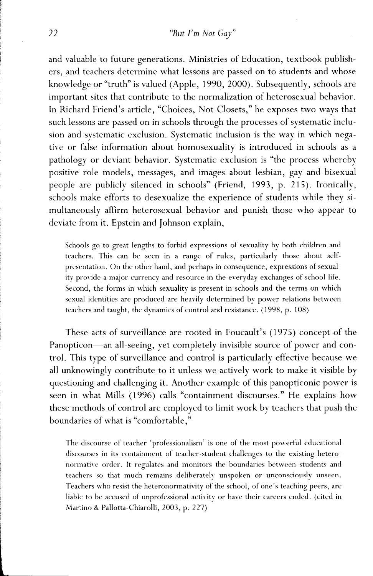and valuable to future generations. Ministries of Education, textbook publishers, and teachers determine what lessons are passed on to students and whose knowledge or "truth" is valued (Apple, 1990, 2000). Subsequently, schools are important sites that contribute to the normalization of heterosexual behavior. In Richard Friend's article, "Choices, Not Closets," he exposes two ways that such lessons are passed on in schools through the processes of systematic inclusion and systematic exclusion. Systematic inclusion is the way in which negative or false information about homosexuality is introduced in schools as a pathology or deviant behavior. Systematic exclusion is "the process whereby positive role models, messages, and images about lesbian, gay and bisexual people are publicly silenced in schools" (Friend, 1993, p. 215). Ironically, schools make efforts to desexualize the experience of students while they simultaneously affirm heterosexual behavior and punish those who appear to deviate from it. Epstein and Johnson explain,

Schools go to great lengths to forbid expressions of sexuality by both children and teachers. This can be seen in a range of rules, particularly those about selfpresentation. On the other hand, and perhaps in consequence, expressions of sexuality provide a major currency and resource in the everyday exchanges of school life. Second, the forms in which sexuality is present in schools and the terms on which sexual identities are produced are heavily determined by power relations between teachers and taught, the dynamics of control and resistance. (1998, p. 108)

These acts of surveillance are rooted in Foucault's (1975) concept of the Panopticon-an all-seeing, yet completely invisible source of power and control. This type of surveillance and control is particularly effective because we all unknowingly contribute to it unless we actively work to make it visible by questioning and challenging it. Another example of this panopticonic power is seen in what Mills (1996) calls "containment discourses." He explains how these methods of control are employed to limit work by teachers that push the boundaries of what is "comfortable,"

The discourse of teacher 'professionalism' is one of the most powerful educational discourses in its containment of teacher-student challenges to the existing heteronormative order. It regulates and monitors the boundaries between students and teachers so that much remains deliberately unspoken or unconsciously unseen. Teachers who resist the heteronormativity of the school, of one's teaching peers, are liable to be accused of unprofessional activity or have their careers ended. (cited in Martino & Pallotta-Chiarolli, 2003, p. 227)

I

l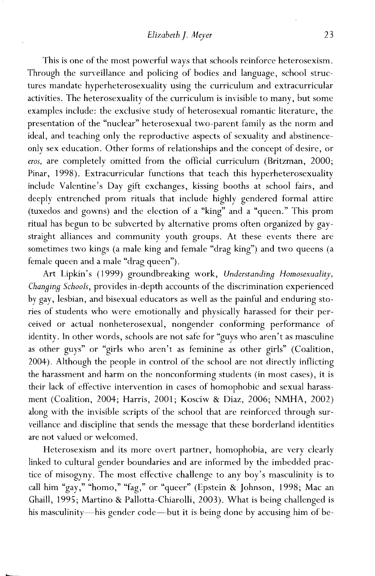This is one of the most powerful ways that schools reinforce heterosexism. Through the surveillance and policing of bodies and language, school structures mandate hyperheterosexuality using the curriculum and extracurricular activities. The heterosexuality of the curriculum is invisible to many, but some examples include: the exclusive study of heterosexual romantic literature, the presentation of the "nuclear" heterosexual two-parent family as the norm and ideal, and teaching only the reproductive aspects of sexuality and abstinenceonly sex education. Other forms of relationships and the concept of desire, or eros, are completely omitted from the official curriculum (Britzman, 2000; Pinar, 1998). Extracurricular functions that teach this hyperheterosexuality include Valentine's Day gift exchanges, kissing booths at school fairs, and deeply entrenched prom rituals that include highly gendered formal attire (tuxedos and gowns) and the election of a "king" and a "queen." This prom ritual has begun to be subverted by alternative proms often organized by gaystraight alliances and community youth groups. At these events there are sometimes two kings (a male king and female "drag king") and two queens (a female queen and a male "drag queen").

Art Lipkin's (1999) groundbreaking work, *Understanding Homosexuality*, *Changing Schools,* provides in-depth accounts of the discrimination experienced by gay, lesbian, and bisexual educators as well as the painful and enduring stories of students who were emotionally and physically harassed for their perceived or actual nonheterosexual, nongender conforming performance of identity. In other words, schools are not safe for "guys who aren't as masculine as other guys" or "girls who aren't as feminine as other girls" (Coalition, 2004). Although the people in control of the school are not directly inf1icting the harassment and harm on the nonconforming students (in most cases), it is their lack of effective intervention in cases of homophobic and sexual harassment (Coalition, 2004; Harris, 2001; Kosciw & Diaz, 2006; NMHA, 2002) along with the invisible scripts of the school that are reinforced through surveillance and discipline that sends the message that these borderland identities are not valued or welcomed.

Heterosexism and its more overt partner, homophobia, are very clearly linked to cultural gender boundaries and are informed by the imbedded practice of misogyny. The most effective challenge to any boy's masculinity is to call him "gay," "homo," "fag," or "queer" (Epstein & Johnson, 1998; Mac an Ghaill, 1995; Martino & Pallotta-Chiarolli, 2003). What is being challenged is his masculinity—his gender code—but it is being done by accusing him of be-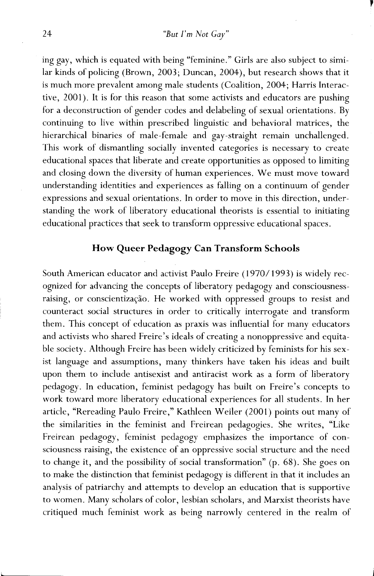'

ing gay, which is equated with being "feminine." Girls are also subject to similar kinds of policing (Brown, 2003; Duncan, 2004), but research shows that it is much more prevalent among male students (Coalition, 2004; Harris Interactive, 2001). It is for this reason that some activists and educators are pushing for a deconstruction of gender codes and delabeling of sexual orientations. By continuing to live within prescribed linguistic and behavioral matrices, the hierarchical binaries of male-female and gay-straight remain unchallenged. This work of dismantling socially invented categories is necessary to create educational spaces that liberate and create opportunities as opposed to limiting and closing down the diversity of human experiences. We must move toward understanding identities and experiences as falling on a continuum of gender expressions and sexual orientations. In order to move in this direction, understanding the work of liberatory educational theorists is essential to initiating educational practices that seek to transform oppressive educational spaces.

# **How Queer Pedagogy Can Transform Schools**

South American educator and activist Paulo Freire ( 1970/ 1993) is widely recognized for advancing the concepts of liberatory pedagogy and consciousnessraising, or conscientização. He worked with oppressed groups to resist and counteract social structures in order to critically interrogate and transform them. This concept of education as praxis was influential for many educators and activists who shared Freire's ideals of creating a nonoppressive and equitable society. Although Freire has been widely criticized by feminists for his sexist language and assumptions, many thinkers have taken his ideas and built upon them to include antisexist and antiracist work as a form of liberatory pedagogy. In education, feminist pedagogy has built on Freire's concepts to work toward more liberatory educational experiences for all students. In her article, "Rereading Paulo Freire," Kathleen Weiler (2001) points out many of the similarities in the feminist and Freirean pedagogies. She writes, "Like Freirean pedagogy, feminist pedagogy emphasizes the importance of consciousness raising, the existence of an oppressive social structure and the need to change it, and the possibility of social transformation" (p. 68). She goes on to make the distinction that feminist pedagogy is different in that it includes an analysis of patriarchy and attempts to develop an education that is supportive to women. Many scholars of color, lesbian scholars, and Marxist theorists have critiqued much feminist work as being narrowly centered in the realm of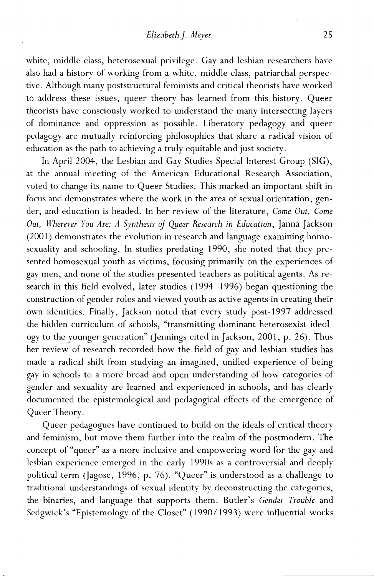white, middle class, heterosexual privilege. Gay and lesbian researchers have also had a history of working from a white, middle class, patriarchal perspective. Although many poststructural feminists and critical theorists have worked to address these issues, queer theory has learned from this history. Queer theorists have consciously worked to understand the many intersecting layers of dominance and oppression as possible. Liberatory pedagogy and queer pedagogy are mutually reinforcing philosophies that share a radical vision of education as the path to achieving a truly equitable and just society.

In April 2004, the Lesbian and Gay Studies Special Interest Group (SIG), at the annual meeting of the American Educational Research Association, voted to change its name to Queer Studies. This marked an important shift in focus and demonstrates where the work in the area of sexual orientation, gender, and education is headed. In her review of the literature, *Come Out, Come Out, Wherever You Are: A Synthesis* cf *Qyeer Research in Education,* Janna Jackson (2001) demonstrates the evolution in research and language examining homosexuality and schooling. In studies predating 1990, she noted that they presented homosexual youth as victims, focusing primarily on the experiences of gay men, and none of the studies presented teachers as political agents. As research in this field evolved, later studies (1994-1996) began questioning the construction of gender roles and viewed youth as active agents in creating their own identities. Finally, Jackson noted that every study post-1997 addressed the hidden curriculum of schools, "transmitting dominant heterosexist ideology to the younger generation" (Jennings cited in Jackson, 2001, p. 26). Thus her review of research recorded how the field of gay and lesbian studies has made a radical shift from studying an imagined, unified experience of being gay in schools to a more broad and open understanding of how categories of gender and sexuality are learned and experienced in schools, and has clearly documented the epistemological and pedagogical effects of the emergence of Queer Theory.

Queer pedagogues have continued to build on the ideals of critical theory and feminism, but move them further into the realm of the postmodern. The concept of "queer" as a more inclusive and empowering word for the gay and lesbian experience emerged in the early 1990s as a controversial and deeply political term (Jagose, 1996, p. 76). "Queer" is understood as a challenge to traditional understandings of sexual identity by deconstructing the categories, the binaries, and language that supports them. Butler's *Gender Trouble* and Sedgwick's "Epistemology of the Closet" (1990/1993) were influential works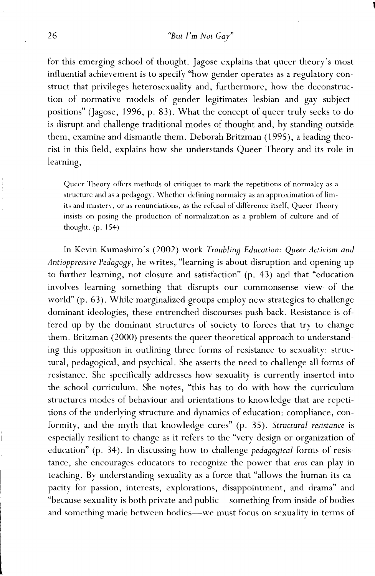for this emerging school of thought. Jagose explains that queer theory's most influential achievement is to specify "how gender operates as a regulatory construct that privileges heterosexuality and, furthermore, how the deconstruction of normative models of gender legitimates lesbian and gay subjectpositions" (Jagose, 1996, p. 83). What the concept of queer truly seeks to do is disrupt and challenge traditional modes of thought and, by standing outside them, examine and dismantle them. Deborah Britzman (1995), a leading theorist in this field, explains how she understands Queer Theory and its role in learning,

Queer Theory offers methods of critiques to mark the repetitions of normalcy as a structure and as a pedagogy. Whether defining normalcy as an approximation of limits and mastery, or as renunciations, as the refusal of difference itself, Queer Theory insists on posing the production of normalization as a problem of culture and of thought. (p. 154)

In Kevin Kumashiro's (2002) work *Troubling Education: Queer Activism and Antioppressive Pedagogy,* he writes, "learning is about disruption and opening up to further learning, not closure and satisfaction" (p. 43) and that "education involves learning something that disrupts our commonsense view of the world" (p. 63). While marginalized groups employ new strategies to challenge dominant ideologies, these entrenched discourses push back. Resistance is offered up by the dominant structures of society to forces that try to change them. Britzman (2000) presents the queer theoretical approach to understanding this opposition in outlining three forms of resistance to sexuality: structural, pedagogical, and psychical. She asserts the need to challenge all forms of resistance. She specifically addresses how sexuality is currently inserted into the school curriculum. She notes, "this has to do with how the curriculum structures modes of behaviour and orientations to knowledge that are repetitions of the underlying structure and dynamics of education: compliance, conformity, and the myth that knowledge cures" (p. 35). *Structural resistance* is especially resilient to change as it refers to the "very design or organization of education" (p. 34). In discussing how to challenge *pedagogical* forms of resistance, she encourages educators to recognize the power that *eros* can play in teaching. By understanding sexuality as a force that "allows the human its capacity for passion, interests, explorations, disappointment, and drama" and "because sexuality is both private and public-something from inside of bodies and something made between bodies-we must focus on sexuality in terms of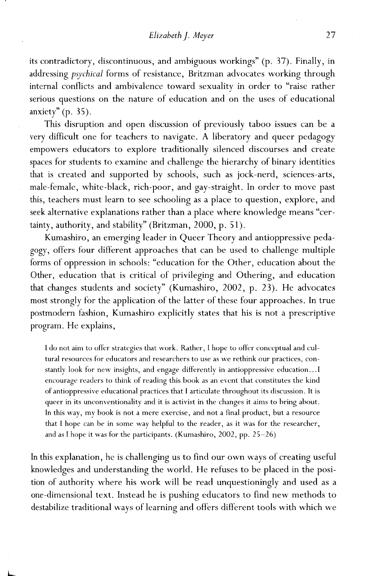its contradictory, discontinuous, and ambiguous workings" (p. 37). Finally, in addressing *psychical* forms of resistance, Britzman advocates working through internal conflicts and ambivalence toward sexuality in order to "raise rather serious questions on the nature of education and on the uses of educational anxiety" (p. 35).

This disruption and open discussion of previously taboo issues can be a very difficult one for teachers to navigate. A liberatory and queer pedagogy empowers educators to explore traditionally silenced discourses and create spaces for students to examine and challenge the hierarchy of binary identities that is created and supported by schools, such as jock-nerd, sciences-arts, male-female, white-black, rich-poor, and gay-straight. In order to move past this, teachers must learn to see schooling as a place to question, explore, and seek alternative explanations rather than a place where knowledge means "certainty, authority, and stability" (Britzman, 2000, p. 51).

Kumashiro, an emerging leader in Queer Theory and antioppressive pedagogy, offers four different approaches that can be used to challenge multiple forms of oppression in schools: "education for the Other, education about the Other, education that is critical of privileging and Othering, and education that changes students and society" (Kumashiro, 2002, p. 23). He advocates most strongly for the application of the latter of these four approaches. In true postmodern fashion, Kumashiro explicitly states that his is not a prescriptive program. He explains,

I do not aim to offer strategies that work. Rather, I hope to offer conceptual and cultural resources for educators and researchers to use as we rethink our practices, constantly look for new insights, and engage differently in antioppressive education ...I encourage readers to think of reading this book as an event that constitutes the kind of antioppressive educational practices that I articulate throughout its discussion. It is queer in its unconventionality and it is activist in the changes it aims to bring about. In this way, my book is not a mere exercise, and not a final product, but a resource that I hope can be in some way helpful to the reader, as it was for the researcher, and as I hope it was for the participants. (Kumashiro, 2002, pp. 25-26)

In this explanation, he is challenging us to find our own ways of creating useful knowledges and understanding the world. He refuses to be placed in the position of authority where his work will be read unquestioningly and used as a one-dimensional text. Instead he is pushing educators to find new methods to destabilize traditional ways of learning and offers different tools with which we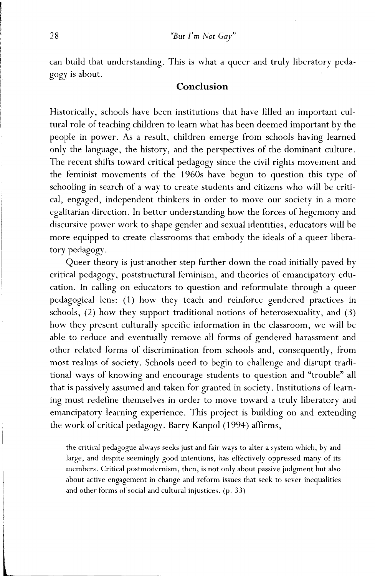can build that understanding. This is what a queer and truly liberatory pedagogy is about.

### **Conclusion**

Historically, schools have been institutions that have filled an important cultural role of teaching children to learn what has been deemed important by the people in power. As a result, children emerge from schools having learned only the language, the history, and the perspectives of the dominant culture. The recent shifts toward critical pedagogy since the civil rights movement and the feminist movements of the 1960s have begun to question this type of schooling in search of a way to create students and citizens who will be critical, engaged, independent thinkers in order to move our society in a more egalitarian direction. In better understanding how the forces of hegemony and discursive power work to shape gender and sexual identities, educators will be more equipped to create classrooms that embody the ideals of a queer liberatory pedagogy.

Queer theory is just another step further down the road initially paved by critical pedagogy, poststructural feminism, and theories of emancipatory education. In calling on educators to question and reformulate through a queer pedagogical lens: ( 1) how they teach and reinforce gendered practices in schools, (2) how they support traditional notions of heterosexuality, and (3) how they present culturally specific information in the classroom, we will be able to reduce and eventually remove all forms of gendered harassment and other related forms of discrimination from schools and, consequently, from most realms of society. Schools need to begin to challenge and disrupt traditional ways of knowing and encourage students to question and "trouble" all that is passively assumed and taken for granted in society. Institutions of learning must redefine themselves in order to move toward a truly liberatory and emancipatory learning experience. This project is building on and extending the work of critical pedagogy. Barry Kanpol ( 1994) affirms,

the critical pedagogue always seeks just and fair ways to alter a system which, by and large, and despite seemingly good intentions, has effectively oppressed many of its members. Critical postmodernism, then, is not only about passive judgment but also about active engagement in change and reform issues that seek to sever inequalities and other forms of social and cultural injustices. (p. 33)

I

l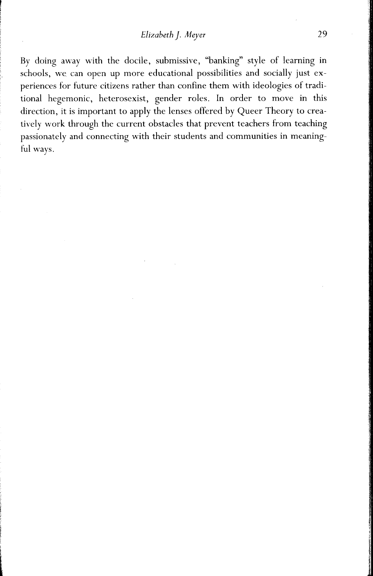By doing away with the docile, submissive, "banking" style of learning in schools, we. can open up more educational possibilities and socially just experiences for future citizens rather than confine them with ideologies of traditional hegemonic, heterosexist, gender roles. In order to move in this direction, it is important to apply the lenses offered by Queer Theory to creatively work through the current obstacles that prevent teachers from teaching passionately and connecting with their students and communities in meaningful ways.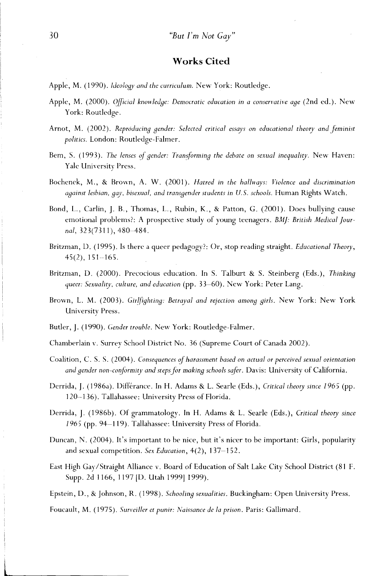#### **Works Cited**

- Apple, M. (1990). *Ideology and the curriculum*. New York: Routledge.
- Apple, M. (2000). Official knowledge: Democratic education in a conservative age (2nd ed.). New York: Routledge.
- Arnot, M. (2002). *Reproducina aender: Selected critical essays on educational theory and feminist politics.* London: Routledge- Falmer.
- Bem, S. (1993). *The lenses of gender: Transforming the debate on sexual inequality*. New Haven: Yale University Press.
- Bochenek, M., & Brown, A. W. (2001). *Hatred in the hallways: Violence and discrimination aaainst lesbian, aay. bisexual, and transaender students in U.S. schools.* Human Rights Watch.
- Bond, L., Carlin, J. B., Thomas, L., Rubin, K., & Patton, G. (2001). Does bullying cause emotional problems?: A prospective study of young teenagers. *BMJ: British Medical jour*nal, 323(7311), 480-484.
- Britzman, D. ( 1995). Is there a queer pedagogy?: Or, stop reading straight. *Educational Theory,*  45(2), 151-165.
- Britzman, D. (2000). Precocious education. In S. Talburt & S. Steinberg (Eds.), Thinking *queer: Sexuality. culture, and education* (pp. 33-60). New York: Peter Lang.
- Brown, L. M. (2003). *Girlfiahtina: Betrayal and rejection amana airls.* New York: New York University Press.
- Butler, J. (1990). *Gender trouble*. New York: Routledge-Falmer.
- Chamberlain\'. Surrey School District No. 36 (Supreme Court of Canada 2002).
- Coalition, C. S. S. (2004). *Consequences of harassment based on actual or perceived sexual orientation* and gender non-conformity and steps for making schools safer. Davis: University of California.
- Derrida, J. (1986a). Differance. In H. Adams & L. Searle (Eds.), *Critical theory since 1965* (pp. 120-136). Tallahassee: University Press of Florida.
- Derrida, J. (1986b). Of grammatology. In H. Adams & L. Searle (Eds.), *Critical theory* since *1965* (pp. 94-119). Tallahassee: University Press of Florida.
- Duncan, N. (2004). It's important to be nice, but it's nicer to be important: Girls, popularity and sexual competition. *Sex Education,* 4(2), 137-152.
- East High Gay/Straight Alliance v. Board of Education of Salt Lake City School District (81 F. Supp. 2d 1166, 1197 [D. Utah 1999] 1999).

Epstein, D., & Johnson, R. ( 1998). *Schoolina sexualities.* Buckingham: Open University Press.

Foucault, M. (1975). *Suneiller et punir: Naissance de la prison.* Paris: Gallimard.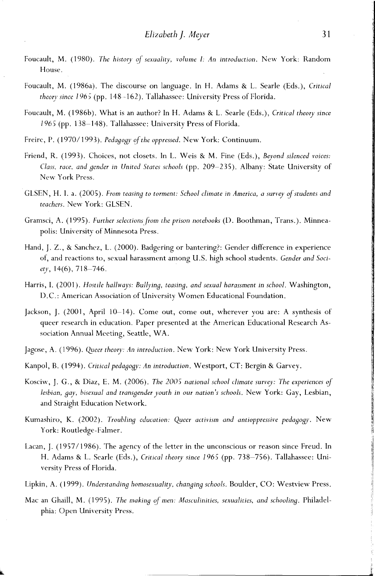- Foucault, M. (1980). *The history of sexuality, volume I: An introduction*, New York: Random House.
- Foucault, M. ( 1986a). The discourse on language. In H. Adams & L. Searle (Eds.), *Critical theory since 196 5* (pp. 148 -162). Tallahassee: University Press of Florida.
- Foucault, M. (1986b). What is an author? In H. Adams & L. Searle (Eds.), *Critical theory since 1965* (pp. 138-148). Tallahassee: University Press of Florida.
- Freire, P. (1970/1993). *Pedagogy of the oppressed*. New York: Continuum.
- Friend, R. (1993). Choices, not closets. In L. Weis & M. Fine (Eds.), *Beyond silenced mices: Class, race, and gender in United States schools* (pp. 209-235). Albany: State University of New York Press.
- GLSEN, H. I. a. (2005). *From teasing to torment: School climate in America, a survey of students and teachers.* New York: GLSEN.
- Gramsci, A. (1995). *Further selections from the prison notebooks* (D. Boothman, Trans.). Minneapolis: University of Minnesota Press.
- Hand, J. Z., & Sanchez, L. (2000). Badgering or bantering?: Gender difference in experience of, and reactions to, sexual harassment among U.S. high school students. *Gender and Society,* 14(6), 718-746.
- Harris, I. (2001). *Hostile hallways: Bullying, teasing, and sexual harassment in school.* Washington, D.C.: American Association of University Women Educational Foundation.
- Jackson, J. (2001, April 10-14). Come out, come out, wherever you are: A synthesis of queer research in education. Paper presented at the American Educational Research Association Annual Meeting, Seattle, WA.
- Jagose, A. (1996). *Queer theory: An introduction*. New York: New York University Press.
- Kanpol, B. (1994). *Critical pedagogy: An introduction*. Westport, CT: Bergin & Garvey.
- Kosciw, J. G., & Diaz, E. M. (2006). *The 2005 national school climate survey: The experiences of* lesbian, gay, bisexual and transgender youth in our nation's schools. New York: Gay, Lesbian, and Straight Education Network.
- Kumashiro, K. (2002). *Troubling education: Queer activism and antioppressive pedagogy*. New York: Routledge-Falmer.
- Lacan, J. (1957/1986). The agency of the letter in the unconscious or reason since Freud. In H. Adams & L. Searle (Eds.), *Critical theory since 1965* (pp. 738-756). Tallahassee: University Press of Florida.
- Lipkin, A. ( 1999). *Understanding homosexuality, changing schools.* Boulder, CO: Westview Press.
- Mac an Ghaill, M. (1995). *The making of men: Masculinities, sexualities, and schooling.* Philadelphia: Open University Press.